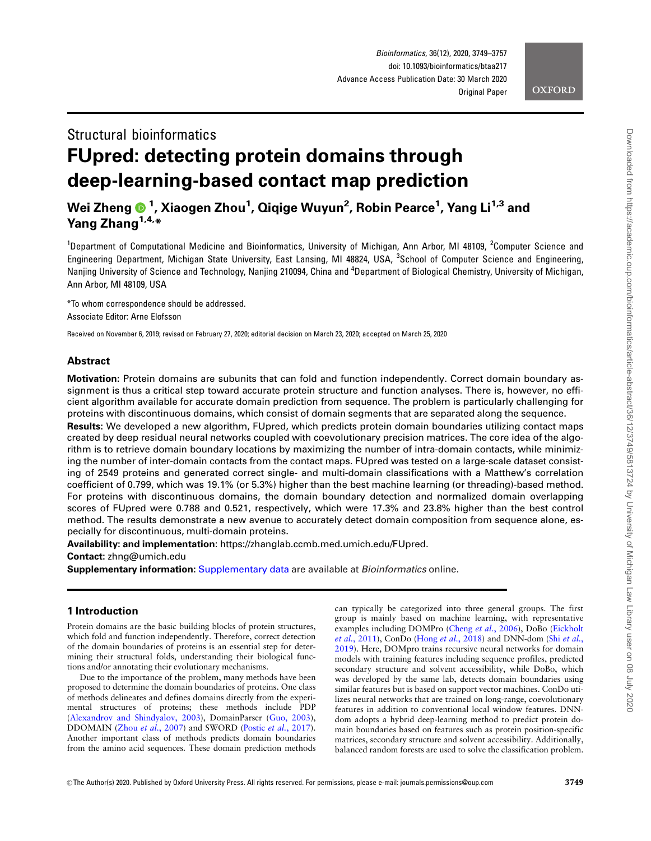

# Structural bioinformatics FUpred: detecting protein domains through deep-learning-based contact map prediction

# Wei Zheng <sup>1</sup> , Xiaogen Zhou<sup>1</sup> , Qiqige Wuyun<sup>2</sup> , Robin Pearce1 , Yang Li1,3 and Yang Zhang<sup>1,4,\*</sup>

<sup>1</sup>Department of Computational Medicine and Bioinformatics, University of Michigan, Ann Arbor, MI 48109, <sup>2</sup>Computer Science and Engineering Department, Michigan State University, East Lansing, MI 48824, USA, <sup>3</sup>School of Computer Science and Engineering, Nanjing University of Science and Technology, Nanjing 210094, China and <sup>4</sup>Department of Biological Chemistry, University of Michigan, Ann Arbor, MI 48109, USA

\*To whom correspondence should be addressed. Associate Editor: Arne Elofsson

Received on November 6, 2019; revised on February 27, 2020; editorial decision on March 23, 2020; accepted on March 25, 2020

# Abstract

Motivation: Protein domains are subunits that can fold and function independently. Correct domain boundary assignment is thus a critical step toward accurate protein structure and function analyses. There is, however, no efficient algorithm available for accurate domain prediction from sequence. The problem is particularly challenging for proteins with discontinuous domains, which consist of domain segments that are separated along the sequence.

Results: We developed a new algorithm, FUpred, which predicts protein domain boundaries utilizing contact maps created by deep residual neural networks coupled with coevolutionary precision matrices. The core idea of the algorithm is to retrieve domain boundary locations by maximizing the number of intra-domain contacts, while minimizing the number of inter-domain contacts from the contact maps. FUpred was tested on a large-scale dataset consisting of 2549 proteins and generated correct single- and multi-domain classifications with a Matthew's correlation coefficient of 0.799, which was 19.1% (or 5.3%) higher than the best machine learning (or threading)-based method. For proteins with discontinuous domains, the domain boundary detection and normalized domain overlapping scores of FUpred were 0.788 and 0.521, respectively, which were 17.3% and 23.8% higher than the best control method. The results demonstrate a new avenue to accurately detect domain composition from sequence alone, especially for discontinuous, multi-domain proteins.

Availability: and implementation: [https://zhanglab.ccmb.med.umich.edu/FUpred.](https://zhanglab.ccmb.med.umich.edu/FUpred)

Contact: zhng@umich.edu

Supplementary information: [Supplementary data](https://academic.oup.com/bioinformatics/article-lookup/doi/10.1093/bioinformatics/btaa217#supplementary-data) are available at *Bioinformatics* online.

# 1 Introduction

Protein domains are the basic building blocks of protein structures, which fold and function independently. Therefore, correct detection of the domain boundaries of proteins is an essential step for determining their structural folds, understanding their biological functions and/or annotating their evolutionary mechanisms.

Due to the importance of the problem, many methods have been proposed to determine the domain boundaries of proteins. One class of methods delineates and defines domains directly from the experimental structures of proteins; these methods include PDP ([Alexandrov and Shindyalov, 2003\)](#page-7-0), DomainParser [\(Guo, 2003](#page-7-0)), DDOMAIN (Zhou et al.[, 2007](#page-8-0)) and SWORD (Postic et al.[, 2017](#page-8-0)). Another important class of methods predicts domain boundaries from the amino acid sequences. These domain prediction methods can typically be categorized into three general groups. The first group is mainly based on machine learning, with representative examples including DOMPro (Cheng et al.[, 2006](#page-7-0)), DoBo [\(Eickholt](#page-7-0) et al.[, 2011\)](#page-7-0), ConDo (Hong et al.[, 2018\)](#page-7-0) and DNN-dom (Shi [et al.](#page-8-0), [2019\)](#page-8-0). Here, DOMpro trains recursive neural networks for domain models with training features including sequence profiles, predicted secondary structure and solvent accessibility, while DoBo, which was developed by the same lab, detects domain boundaries using similar features but is based on support vector machines. ConDo utilizes neural networks that are trained on long-range, coevolutionary features in addition to conventional local window features. DNNdom adopts a hybrid deep-learning method to predict protein domain boundaries based on features such as protein position-specific matrices, secondary structure and solvent accessibility. Additionally, balanced random forests are used to solve the classification problem.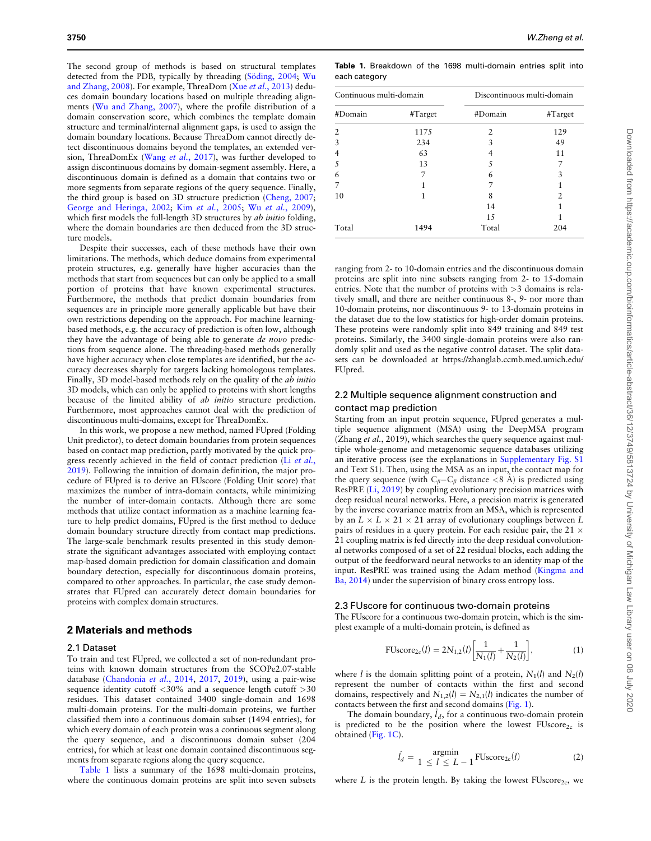<span id="page-1-0"></span>The second group of methods is based on structural templates detected from the PDB, typically by threading (Söding, 2004; [Wu](#page-8-0) [and Zhang, 2008](#page-8-0)). For example, ThreaDom (Xue et al.[, 2013](#page-8-0)) deduces domain boundary locations based on multiple threading alignments [\(Wu and Zhang, 2007\)](#page-8-0), where the profile distribution of a domain conservation score, which combines the template domain structure and terminal/internal alignment gaps, is used to assign the domain boundary locations. Because ThreaDom cannot directly detect discontinuous domains beyond the templates, an extended version, ThreaDomEx (Wang et al.[, 2017](#page-8-0)), was further developed to assign discontinuous domains by domain-segment assembly. Here, a discontinuous domain is defined as a domain that contains two or more segments from separate regions of the query sequence. Finally, the third group is based on 3D structure prediction ([Cheng, 2007;](#page-7-0) [George and Heringa, 2002](#page-7-0); Kim et al.[, 2005](#page-8-0); Wu et al.[, 2009](#page-8-0)), which first models the full-length 3D structures by *ab initio* folding, where the domain boundaries are then deduced from the 3D structure models.

Despite their successes, each of these methods have their own limitations. The methods, which deduce domains from experimental protein structures, e.g. generally have higher accuracies than the methods that start from sequences but can only be applied to a small portion of proteins that have known experimental structures. Furthermore, the methods that predict domain boundaries from sequences are in principle more generally applicable but have their own restrictions depending on the approach. For machine learningbased methods, e.g. the accuracy of prediction is often low, although they have the advantage of being able to generate de novo predictions from sequence alone. The threading-based methods generally have higher accuracy when close templates are identified, but the accuracy decreases sharply for targets lacking homologous templates. Finally, 3D model-based methods rely on the quality of the ab initio 3D models, which can only be applied to proteins with short lengths because of the limited ability of ab initio structure prediction. Furthermore, most approaches cannot deal with the prediction of discontinuous multi-domains, except for ThreaDomEx.

In this work, we propose a new method, named FUpred (Folding Unit predictor), to detect domain boundaries from protein sequences based on contact map prediction, partly motivated by the quick progress recently achieved in the field of contact prediction (Li [et al.](#page-8-0), [2019\)](#page-8-0). Following the intuition of domain definition, the major procedure of FUpred is to derive an FUscore (Folding Unit score) that maximizes the number of intra-domain contacts, while minimizing the number of inter-domain contacts. Although there are some methods that utilize contact information as a machine learning feature to help predict domains, FUpred is the first method to deduce domain boundary structure directly from contact map predictions. The large-scale benchmark results presented in this study demonstrate the significant advantages associated with employing contact map-based domain prediction for domain classification and domain boundary detection, especially for discontinuous domain proteins, compared to other approaches. In particular, the case study demonstrates that FUpred can accurately detect domain boundaries for proteins with complex domain structures.

#### 2 Materials and methods

### 2.1 Dataset

To train and test FUpred, we collected a set of non-redundant proteins with known domain structures from the SCOPe2.07-stable database [\(Chandonia](#page-7-0) et al., 2014, [2017](#page-7-0), [2019](#page-7-0)), using a pair-wise sequence identity cutoff <30% and a sequence length cutoff >30 residues. This dataset contained 3400 single-domain and 1698 multi-domain proteins. For the multi-domain proteins, we further classified them into a continuous domain subset (1494 entries), for which every domain of each protein was a continuous segment along the query sequence, and a discontinuous domain subset (204 entries), for which at least one domain contained discontinuous segments from separate regions along the query sequence.

Table 1 lists a summary of the 1698 multi-domain proteins, where the continuous domain proteins are split into seven subsets

Table 1. Breakdown of the 1698 multi-domain entries split into each category

| Continuous multi-domain |         | Discontinuous multi-domain |         |  |
|-------------------------|---------|----------------------------|---------|--|
| #Domain                 | #Target | #Domain                    | #Target |  |
| 2                       | 1175    | 2                          | 129     |  |
| 3                       | 234     | 3                          | 49      |  |
| 4                       | 63      |                            | 11      |  |
| 5                       | 13      | 5                          |         |  |
| 6                       |         | 6                          | 3       |  |
| 7                       |         |                            | 1       |  |
| 10                      |         | 8                          | 2       |  |
|                         |         | 14                         |         |  |
|                         |         | 15                         |         |  |
| Total                   | 1494    | Total                      | 204     |  |

ranging from 2- to 10-domain entries and the discontinuous domain proteins are split into nine subsets ranging from 2- to 15-domain entries. Note that the number of proteins with >3 domains is relatively small, and there are neither continuous 8-, 9- nor more than 10-domain proteins, nor discontinuous 9- to 13-domain proteins in the dataset due to the low statistics for high-order domain proteins. These proteins were randomly split into 849 training and 849 test proteins. Similarly, the 3400 single-domain proteins were also randomly split and used as the negative control dataset. The split datasets can be downloaded at [https://zhanglab.ccmb.med.umich.edu/](https://zhanglab.ccmb.med.umich.edu/FUpred) [FUpred.](https://zhanglab.ccmb.med.umich.edu/FUpred)

# 2.2 Multiple sequence alignment construction and contact map prediction

Starting from an input protein sequence, FUpred generates a multiple sequence alignment (MSA) using the DeepMSA program (Zhang et al., 2019), which searches the query sequence against multiple whole-genome and metagenomic sequence databases utilizing an iterative process (see the explanations in [Supplementary Fig. S1](https://academic.oup.com/bioinformatics/article-lookup/doi/10.1093/bioinformatics/btaa217#supplementary-data) and Text S1). Then, using the MSA as an input, the contact map for the query sequence (with  $C_{\beta}-C_{\beta}$  distance <8 A) is predicted using ResPRE [\(Li, 2019\)](#page-8-0) by coupling evolutionary precision matrices with deep residual neural networks. Here, a precision matrix is generated by the inverse covariance matrix from an MSA, which is represented by an  $L \times L \times 21 \times 21$  array of evolutionary couplings between  $L$ pairs of residues in a query protein. For each residue pair, the 21  $\times$ 21 coupling matrix is fed directly into the deep residual convolutional networks composed of a set of 22 residual blocks, each adding the output of the feedforward neural networks to an identity map of the input. ResPRE was trained using the Adam method ([Kingma and](#page-8-0) [Ba, 2014\)](#page-8-0) under the supervision of binary cross entropy loss.

#### 2.3 FUscore for continuous two-domain proteins

The FUscore for a continuous two-domain protein, which is the simplest example of a multi-domain protein, is defined as

FUscore<sub>2c</sub>
$$
(l) = 2N_{1,2}(l) \left[ \frac{1}{N_1(l)} + \frac{1}{N_2(l)} \right],
$$
 (1)

where *l* is the domain splitting point of a protein,  $N_1(l)$  and  $N_2(l)$ represent the number of contacts within the first and second domains, respectively and  $N_{1,2}(l) = N_{2,1}(l)$  indicates the number of contacts between the first and second domains [\(Fig. 1\)](#page-2-0).

The domain boundary,  $l_d$ , for a continuous two-domain protein is predicted to be the position where the lowest  $FUscore_{2c}$  is obtained ([Fig. 1C\)](#page-2-0).

$$
\hat{l}_d = \begin{cases} \text{argmin} \\ 1 \le l \le L - 1 \end{cases} \text{FUscore}_{2c}(l) \tag{2}
$$

where L is the protein length. By taking the lowest  $\text{FUscore}_{2c}$ , we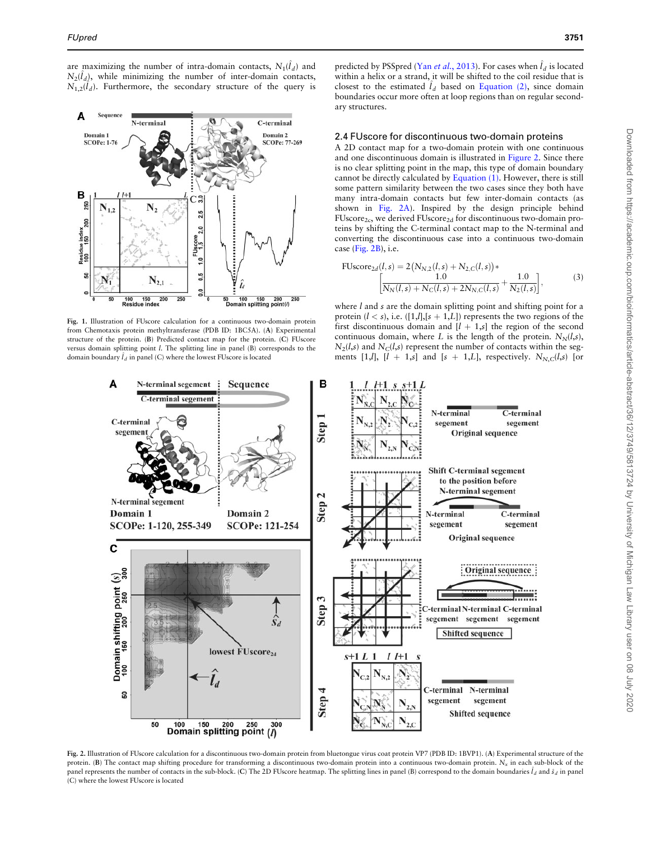<span id="page-2-0"></span>are maximizing the number of intra-domain contacts,  $N_1(\tilde{l}_d)$  and  $N_2(\hat{l}_d)$ , while minimizing the number of inter-domain contacts,  $N_{1,2}(\hat{l}_d)$ . Furthermore, the secondary structure of the query is



Fig. 1. Illustration of FUscore calculation for a continuous two-domain protein from Chemotaxis protein methyltransferase (PDB ID: 1BC5A). (A) Experimental structure of the protein. (B) Predicted contact map for the protein. (C) FUscore versus domain splitting point l. The splitting line in panel (B) corresponds to the domain boundary  $\hat{l}_d$  in panel (C) where the lowest FUscore is located

predicted by PSSpred (Yan et al.[, 2013](#page-8-0)). For cases when  $l_d$  is located within a helix or a strand, it will be shifted to the coil residue that is closest to the estimated  $\hat{l}_d$  based on [Equation \(2\)](#page-1-0), since domain boundaries occur more often at loop regions than on regular secondary structures.

#### 2.4 FUscore for discontinuous two-domain proteins

A 2D contact map for a two-domain protein with one continuous and one discontinuous domain is illustrated in Figure 2. Since there is no clear splitting point in the map, this type of domain boundary cannot be directly calculated by [Equation \(1\)](#page-1-0). However, there is still some pattern similarity between the two cases since they both have many intra-domain contacts but few inter-domain contacts (as shown in Fig. 2A). Inspired by the design principle behind  $FUscore_{2c}$ , we derived  $FUscore_{2d}$  for discontinuous two-domain proteins by shifting the C-terminal contact map to the N-terminal and converting the discontinuous case into a continuous two-domain case (Fig. 2B), i.e.

$$
\text{FUscore}_{2d}(l,s) = 2(N_{N,2}(l,s) + N_{2,C}(l,s))\ast \left[\frac{1.0}{N_N(l,s) + N_C(l,s) + 2N_{N,C}(l,s)} + \frac{1.0}{N_2(l,s)}\right],\tag{3}
$$

where *l* and *s* are the domain splitting point and shifting point for a protein  $(l < s)$ , i.e.  $([1,l],[s+1,L])$  represents the two regions of the first discontinuous domain and  $[l + 1,s]$  the region of the second continuous domain, where L is the length of the protein.  $N_N(l,s)$ ,  $N_2(l,s)$  and  $N_C(l,s)$  represent the number of contacts within the segments [1,*l*],  $[l + 1,s]$  and  $[s + 1,L]$ , respectively.  $N_{N,C}(l,s)$  [or



Fig. 2. Illustration of FUscore calculation for a discontinuous two-domain protein from bluetongue virus coat protein VP7 (PDB ID: 1BVP1). (A) Experimental structure of the protein. (B) The contact map shifting procedure for transforming a discontinuous two-domain protein into a continuous two-domain protein.  $N_x$  in each sub-block of the panel represents the number of contacts in the sub-block. (C) The 2D FUscore heatmap. The splitting lines in panel (B) correspond to the domain boundaries  $\hat{l}_d$  and  $\hat{s}_d$  in panel (C) where the lowest FUscore is located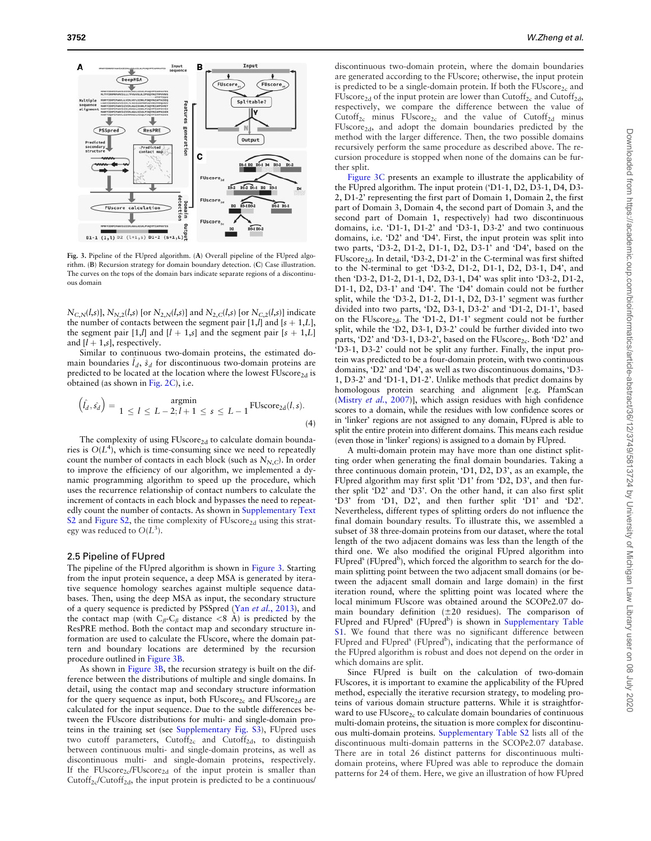

Fig. 3. Pipeline of the FUpred algorithm. (A) Overall pipeline of the FUpred algorithm. (B) Recursion strategy for domain boundary detection. (C) Case illustration. The curves on the tops of the domain bars indicate separate regions of a discontinuous domain

 $N_{C,N}(l,s)$ ],  $N_{N,2}(l,s)$  [or  $N_{2,N}(l,s)$ ] and  $N_{2,C}(l,s)$  [or  $N_{C,2}(l,s)$ ] indicate the number of contacts between the segment pair [1,*l*] and [ $s + 1$ ,*L*], the segment pair [1,*l*] and  $[l + 1,s]$  and the segment pair  $[s + 1, L]$ and  $[l + 1, s]$ , respectively.

Similar to continuous two-domain proteins, the estimated domain boundaries  $\hat{l}_d$ ,  $\hat{s}_d$  for discontinuous two-domain proteins are predicted to be located at the location where the lowest  $FUscore_{2d}$  is obtained (as shown in [Fig. 2C](#page-2-0)), i.e.

$$
(\hat{l}_d, \hat{s_d}) = \underset{1 \leq l \leq L-2; l+1 \leq s \leq L-1}{\text{argmin}} \text{fUscore}_{2d}(l, s).
$$
\n(4)

The complexity of using  $FUscore_{2d}$  to calculate domain boundaries is  $O(L<sup>4</sup>)$ , which is time-consuming since we need to repeatedly count the number of contacts in each block (such as  $N_{N,C}$ ). In order to improve the efficiency of our algorithm, we implemented a dynamic programming algorithm to speed up the procedure, which uses the recurrence relationship of contact numbers to calculate the increment of contacts in each block and bypasses the need to repeatedly count the number of contacts. As shown in [Supplementary Text](https://academic.oup.com/bioinformatics/article-lookup/doi/10.1093/bioinformatics/btaa217#supplementary-data) [S2](https://academic.oup.com/bioinformatics/article-lookup/doi/10.1093/bioinformatics/btaa217#supplementary-data) and [Figure S2,](https://academic.oup.com/bioinformatics/article-lookup/doi/10.1093/bioinformatics/btaa217#supplementary-data) the time complexity of  $FUscore_{2d}$  using this strategy was reduced to  $O(L^3)$ .

#### 2.5 Pipeline of FUpred

The pipeline of the FUpred algorithm is shown in Figure 3. Starting from the input protein sequence, a deep MSA is generated by iterative sequence homology searches against multiple sequence databases. Then, using the deep MSA as input, the secondary structure of a query sequence is predicted by PSSpred (Yan et al.[, 2013\)](#page-8-0), and the contact map (with  $C_\beta$ -C<sub> $\beta$ </sub> distance <8 A<sup> $\hat{A}$ </sup>) is predicted by the ResPRE method. Both the contact map and secondary structure information are used to calculate the FUscore, where the domain pattern and boundary locations are determined by the recursion procedure outlined in Figure 3B.

As shown in Figure 3B, the recursion strategy is built on the difference between the distributions of multiple and single domains. In detail, using the contact map and secondary structure information for the query sequence as input, both  $FUscore_{2c}$  and  $FUscore_{2d}$  are calculated for the input sequence. Due to the subtle differences between the FUscore distributions for multi- and single-domain proteins in the training set (see [Supplementary Fig. S3\)](https://academic.oup.com/bioinformatics/article-lookup/doi/10.1093/bioinformatics/btaa217#supplementary-data), FUpred uses two cutoff parameters, Cutoff<sub>2c</sub> and Cutoff<sub>2d</sub>, to distinguish between continuous multi- and single-domain proteins, as well as discontinuous multi- and single-domain proteins, respectively. If the FUscore<sub>2c</sub>/FUscore<sub>2d</sub> of the input protein is smaller than  $Cutoff_{2c}/Cutoff_{2d}$ , the input protein is predicted to be a continuous/

discontinuous two-domain protein, where the domain boundaries are generated according to the FUscore; otherwise, the input protein is predicted to be a single-domain protein. If both the  $FUscore_{2c}$  and FUscore<sub>2d</sub> of the input protein are lower than Cutoff<sub>2c</sub> and Cutoff<sub>2d</sub>, respectively, we compare the difference between the value of Cutoff<sub>2c</sub> minus FUscore<sub>2c</sub> and the value of Cutoff<sub>2d</sub> minus FUscore2d, and adopt the domain boundaries predicted by the method with the larger difference. Then, the two possible domains recursively perform the same procedure as described above. The recursion procedure is stopped when none of the domains can be further split.

Figure 3C presents an example to illustrate the applicability of the FUpred algorithm. The input protein ('D1-1, D2, D3-1, D4, D3- 2, D1-2' representing the first part of Domain 1, Domain 2, the first part of Domain 3, Domain 4, the second part of Domain 3, and the second part of Domain 1, respectively) had two discontinuous domains, i.e. 'D1-1, D1-2' and 'D3-1, D3-2' and two continuous domains, i.e. 'D2' and 'D4'. First, the input protein was split into two parts, 'D3-2, D1-2, D1-1, D2, D3-1' and 'D4', based on the FUscore<sub>2d</sub>. In detail, 'D3-2, D1-2' in the C-terminal was first shifted to the N-terminal to get 'D3-2, D1-2, D1-1, D2, D3-1, D4', and then 'D3-2, D1-2, D1-1, D2, D3-1, D4' was split into 'D3-2, D1-2, D1-1, D2, D3-1' and 'D4'. The 'D4' domain could not be further split, while the 'D3-2, D1-2, D1-1, D2, D3-1' segment was further divided into two parts, 'D2, D3-1, D3-2' and 'D1-2, D1-1', based on the FUscore<sub>2d</sub>. The 'D1-2, D1-1' segment could not be further split, while the 'D2, D3-1, D3-2' could be further divided into two parts, 'D2' and 'D3-1, D3-2', based on the FUscore<sub>2c</sub>. Both 'D2' and 'D3-1, D3-2' could not be split any further. Finally, the input protein was predicted to be a four-domain protein, with two continuous domains, 'D2' and 'D4', as well as two discontinuous domains, 'D3- 1, D3-2' and 'D1-1, D1-2'. Unlike methods that predict domains by homologous protein searching and alignment [e.g. PfamScan ([Mistry](#page-8-0) et al., 2007)], which assign residues with high confidence scores to a domain, while the residues with low confidence scores or in 'linker' regions are not assigned to any domain, FUpred is able to split the entire protein into different domains. This means each residue (even those in 'linker' regions) is assigned to a domain by FUpred.

A multi-domain protein may have more than one distinct splitting order when generating the final domain boundaries. Taking a three continuous domain protein, 'D1, D2, D3', as an example, the FUpred algorithm may first split 'D1' from 'D2, D3', and then further split 'D2' and 'D3'. On the other hand, it can also first split 'D3' from 'D1, D2', and then further split 'D1' and 'D2'. Nevertheless, different types of splitting orders do not influence the final domain boundary results. To illustrate this, we assembled a subset of 38 three-domain proteins from our dataset, where the total length of the two adjacent domains was less than the length of the third one. We also modified the original FUpred algorithm into FUpred<sup>s</sup> (FUpred<sup>b</sup>), which forced the algorithm to search for the domain splitting point between the two adjacent small domains (or between the adjacent small domain and large domain) in the first iteration round, where the splitting point was located where the local minimum FUscore was obtained around the SCOPe2.07 domain boundary definition  $(\pm 20 \text{ residues})$ . The comparison of FUpred and FUpred<sup>s</sup> (FUpred<sup>b</sup>) is shown in [Supplementary Table](https://academic.oup.com/bioinformatics/article-lookup/doi/10.1093/bioinformatics/btaa217#supplementary-data) [S1.](https://academic.oup.com/bioinformatics/article-lookup/doi/10.1093/bioinformatics/btaa217#supplementary-data) We found that there was no significant difference between FUpred and FUpred<sup>s</sup> (FUpred<sup>b</sup>), indicating that the performance of the FUpred algorithm is robust and does not depend on the order in which domains are split.

Since FUpred is built on the calculation of two-domain FUscores, it is important to examine the applicability of the FUpred method, especially the iterative recursion strategy, to modeling proteins of various domain structure patterns. While it is straightforward to use  $FUscore_{2c}$  to calculate domain boundaries of continuous multi-domain proteins, the situation is more complex for discontinuous multi-domain proteins. [Supplementary Table S2](https://academic.oup.com/bioinformatics/article-lookup/doi/10.1093/bioinformatics/btaa217#supplementary-data) lists all of the discontinuous multi-domain patterns in the SCOPe2.07 database. There are in total 26 distinct patterns for discontinuous multidomain proteins, where FUpred was able to reproduce the domain patterns for 24 of them. Here, we give an illustration of how FUpred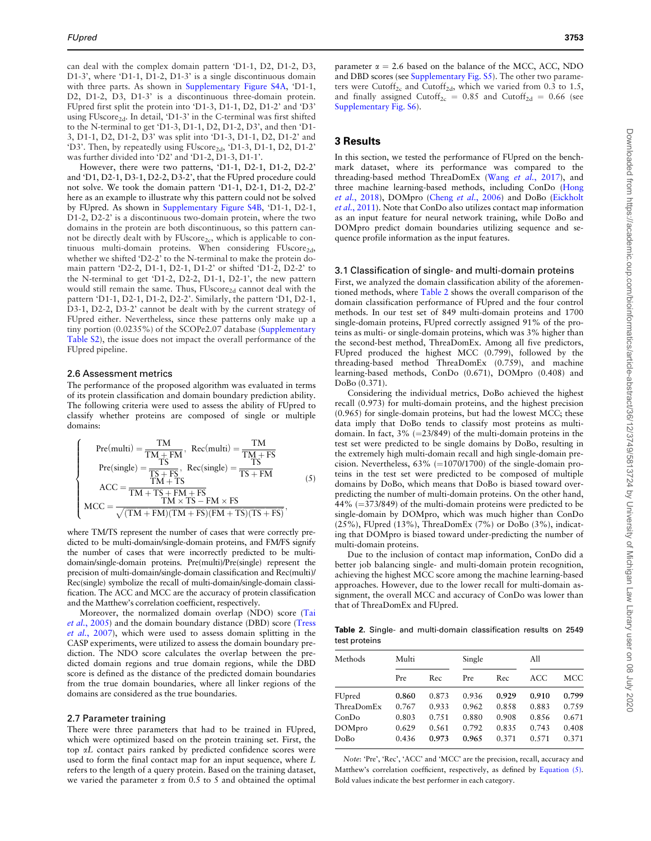<span id="page-4-0"></span>can deal with the complex domain pattern 'D1-1, D2, D1-2, D3, D1-3', where 'D1-1, D1-2, D1-3' is a single discontinuous domain with three parts. As shown in [Supplementary Figure S4A](https://academic.oup.com/bioinformatics/article-lookup/doi/10.1093/bioinformatics/btaa217#supplementary-data), 'D1-1, D2, D1-2, D3, D1-3' is a discontinuous three-domain protein. FUpred first split the protein into 'D1-3, D1-1, D2, D1-2' and 'D3' using FUscore<sub>2d</sub>. In detail, 'D1-3' in the C-terminal was first shifted to the N-terminal to get 'D1-3, D1-1, D2, D1-2, D3', and then 'D1- 3, D1-1, D2, D1-2, D3' was split into 'D1-3, D1-1, D2, D1-2' and 'D3'. Then, by repeatedly using FUscore<sub>2d</sub>, 'D1-3, D1-1, D2, D1-2' was further divided into 'D2' and 'D1-2, D1-3, D1-1'.

However, there were two patterns, 'D1-1, D2-1, D1-2, D2-2' and 'D1, D2-1, D3-1, D2-2, D3-2', that the FUpred procedure could not solve. We took the domain pattern 'D1-1, D2-1, D1-2, D2-2' here as an example to illustrate why this pattern could not be solved by FUpred. As shown in [Supplementary Figure S4B](https://academic.oup.com/bioinformatics/article-lookup/doi/10.1093/bioinformatics/btaa217#supplementary-data), 'D1-1, D2-1, D1-2, D2-2' is a discontinuous two-domain protein, where the two domains in the protein are both discontinuous, so this pattern cannot be directly dealt with by  $FUscore_{2c}$ , which is applicable to continuous multi-domain proteins. When considering FUscore<sub>2d</sub>, whether we shifted 'D2-2' to the N-terminal to make the protein domain pattern 'D2-2, D1-1, D2-1, D1-2' or shifted 'D1-2, D2-2' to the N-terminal to get 'D1-2, D2-2, D1-1, D2-1', the new pattern would still remain the same. Thus, FUscore<sub>2d</sub> cannot deal with the pattern 'D1-1, D2-1, D1-2, D2-2'. Similarly, the pattern 'D1, D2-1, D3-1, D2-2, D3-2' cannot be dealt with by the current strategy of FUpred either. Nevertheless, since these patterns only make up a tiny portion (0.0235%) of the SCOPe2.07 database ([Supplementary](https://academic.oup.com/bioinformatics/article-lookup/doi/10.1093/bioinformatics/btaa217#supplementary-data) [Table S2\)](https://academic.oup.com/bioinformatics/article-lookup/doi/10.1093/bioinformatics/btaa217#supplementary-data), the issue does not impact the overall performance of the FUpred pipeline.

### 2.6 Assessment metrics

The performance of the proposed algorithm was evaluated in terms of its protein classification and domain boundary prediction ability. The following criteria were used to assess the ability of FUpred to classify whether proteins are composed of single or multiple domains:

$$
\left\{\begin{array}{rl} \mathrm{Pre}(\mathrm{multi})=\frac{\mathrm{TM}}{\mathrm{TM}+\mathrm{FM}},\ \mathrm{Rec}(\mathrm{multi})=\frac{\mathrm{TM}}{\mathrm{TM}+\mathrm{FS}}\\ \mathrm{Pre}(\mathrm{single})=\frac{\mathrm{TS}}{\mathrm{TS}+\mathrm{FS}},\ \mathrm{Rec}(\mathrm{single})=\frac{\mathrm{TS}}{\mathrm{TS}+\mathrm{FM}}\\ \mathrm{ACC}=\frac{\mathrm{TM}+\mathrm{TS}}{\mathrm{TM}+\mathrm{TS}+\mathrm{FM}+\mathrm{FS}}\\ \mathrm{MCC}=\frac{\mathrm{TM}+\mathrm{TS}+\mathrm{FM}+\mathrm{FS}}{\sqrt{(\mathrm{TM}+\mathrm{FM})(\mathrm{TM}+\mathrm{FS})(\mathrm{FM}+\mathrm{TS})(\mathrm{TS}+\mathrm{FS})}}, \end{array}\right. \tag{5}
$$

where TM/TS represent the number of cases that were correctly predicted to be multi-domain/single-domain proteins, and FM/FS signify the number of cases that were incorrectly predicted to be multidomain/single-domain proteins. Pre(multi)/Pre(single) represent the precision of multi-domain/single-domain classification and Rec(multi)/ Rec(single) symbolize the recall of multi-domain/single-domain classification. The ACC and MCC are the accuracy of protein classification and the Matthew's correlation coefficient, respectively.

Moreover, the normalized domain overlap (NDO) score ([Tai](#page-8-0) et al.[, 2005\)](#page-8-0) and the domain boundary distance (DBD) score [\(Tress](#page-8-0) et al.[, 2007\)](#page-8-0), which were used to assess domain splitting in the CASP experiments, were utilized to assess the domain boundary prediction. The NDO score calculates the overlap between the predicted domain regions and true domain regions, while the DBD score is defined as the distance of the predicted domain boundaries from the true domain boundaries, where all linker regions of the domains are considered as the true boundaries.

#### 2.7 Parameter training

There were three parameters that had to be trained in FUpred, which were optimized based on the protein training set. First, the top aL contact pairs ranked by predicted confidence scores were used to form the final contact map for an input sequence, where L refers to the length of a query protein. Based on the training dataset, we varied the parameter  $\alpha$  from 0.5 to 5 and obtained the optimal

parameter  $\alpha = 2.6$  based on the balance of the MCC, ACC, NDO and DBD scores (see [Supplementary Fig. S5](https://academic.oup.com/bioinformatics/article-lookup/doi/10.1093/bioinformatics/btaa217#supplementary-data)). The other two parameters were Cutoff<sub>2c</sub> and Cutoff<sub>2d</sub>, which we varied from 0.3 to 1.5, and finally assigned Cutoff<sub>2c</sub> = 0.85 and Cutoff<sub>2d</sub> = 0.66 (see [Supplementary Fig. S6\)](https://academic.oup.com/bioinformatics/article-lookup/doi/10.1093/bioinformatics/btaa217#supplementary-data).

## 3 Results

In this section, we tested the performance of FUpred on the benchmark dataset, where its performance was compared to the threading-based method ThreaDomEx (Wang et al.[, 2017](#page-8-0)), and three machine learning-based methods, including ConDo ([Hong](#page-7-0) et al.[, 2018\)](#page-7-0), DOMpro (Cheng et al.[, 2006\)](#page-7-0) and DoBo [\(Eickholt](#page-7-0) et al.[, 2011\)](#page-7-0). Note that ConDo also utilizes contact map information as an input feature for neural network training, while DoBo and DOMpro predict domain boundaries utilizing sequence and sequence profile information as the input features.

#### 3.1 Classification of single- and multi-domain proteins

First, we analyzed the domain classification ability of the aforementioned methods, where Table 2 shows the overall comparison of the domain classification performance of FUpred and the four control methods. In our test set of 849 multi-domain proteins and 1700 single-domain proteins, FUpred correctly assigned 91% of the proteins as multi- or single-domain proteins, which was 3% higher than the second-best method, ThreaDomEx. Among all five predictors, FUpred produced the highest MCC (0.799), followed by the threading-based method ThreaDomEx (0.759), and machine learning-based methods, ConDo (0.671), DOMpro (0.408) and DoBo (0.371).

Considering the individual metrics, DoBo achieved the highest recall (0.973) for multi-domain proteins, and the highest precision (0.965) for single-domain proteins, but had the lowest MCC; these data imply that DoBo tends to classify most proteins as multidomain. In fact,  $3\%$  (=23/849) of the multi-domain proteins in the test set were predicted to be single domains by DoBo, resulting in the extremely high multi-domain recall and high single-domain precision. Nevertheless,  $63\%$  (=1070/1700) of the single-domain proteins in the test set were predicted to be composed of multiple domains by DoBo, which means that DoBo is biased toward overpredicting the number of multi-domain proteins. On the other hand,  $44\%$  (=373/849) of the multi-domain proteins were predicted to be single-domain by DOMpro, which was much higher than ConDo (25%), FUpred (13%), ThreaDomEx (7%) or DoBo (3%), indicating that DOMpro is biased toward under-predicting the number of multi-domain proteins.

Due to the inclusion of contact map information, ConDo did a better job balancing single- and multi-domain protein recognition, achieving the highest MCC score among the machine learning-based approaches. However, due to the lower recall for multi-domain assignment, the overall MCC and accuracy of ConDo was lower than that of ThreaDomEx and FUpred.

Table 2. Single- and multi-domain classification results on 2549 test proteins

| Methods    | Multi |       | Single |       | All   |       |
|------------|-------|-------|--------|-------|-------|-------|
|            | Pre   | Rec.  | Pre    | Rec   | ACC   | MCC   |
| FUpred     | 0.860 | 0.873 | 0.936  | 0.929 | 0.910 | 0.799 |
| ThreaDomEx | 0.767 | 0.933 | 0.962  | 0.858 | 0.883 | 0.759 |
| ConDo      | 0.803 | 0.751 | 0.880  | 0.908 | 0.856 | 0.671 |
| DOMpro     | 0.629 | 0.561 | 0.792  | 0.835 | 0.743 | 0.408 |
| DoBo       | 0.436 | 0.973 | 0.965  | 0.371 | 0.571 | 0.371 |
|            |       |       |        |       |       |       |

Note: 'Pre', 'Rec', 'ACC' and 'MCC' are the precision, recall, accuracy and Matthew's correlation coefficient, respectively, as defined by Equation (5). Bold values indicate the best performer in each category.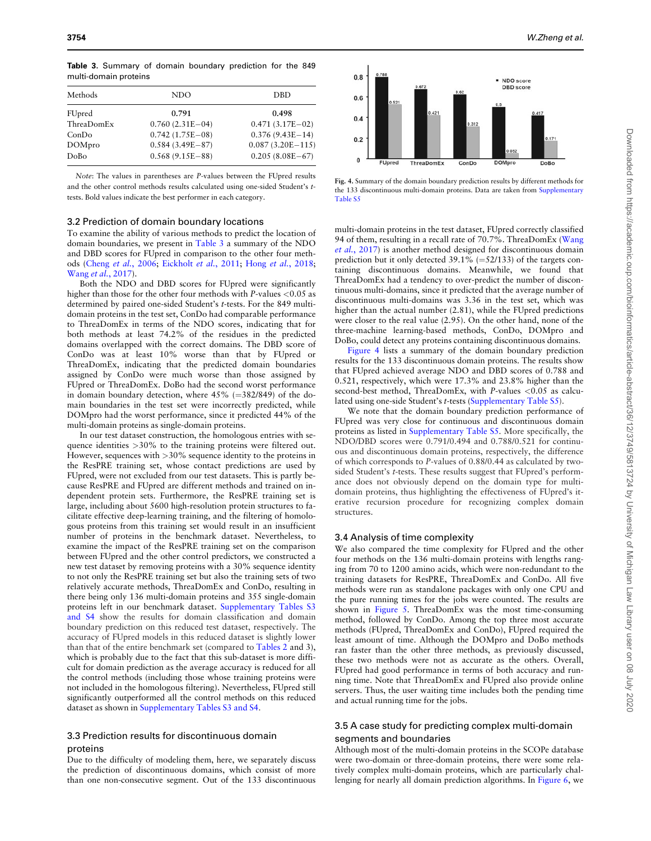| Methods    | NDO               | <b>DBD</b>         |
|------------|-------------------|--------------------|
| FUpred     | 0.791             | 0.498              |
| ThreaDomEx | $0.760(2.31E-04)$ | $0.471(3.17E-02)$  |
| ConDo      | $0.742(1.75E-08)$ | $0.376(9.43E-14)$  |
| DOMpro     | $0.584(3.49E-87)$ | $0.087(3.20E-115)$ |
| DoBo       | $0.568(9.15E-88)$ | $0.205(8.08E-67)$  |
|            |                   |                    |

<span id="page-5-0"></span>Table 3. Summary of domain boundary prediction for the 849 multi-domain proteins

Note: The values in parentheses are P-values between the FUpred results and the other control methods results calculated using one-sided Student's ttests. Bold values indicate the best performer in each category.

#### 3.2 Prediction of domain boundary locations

To examine the ability of various methods to predict the location of domain boundaries, we present in Table 3 a summary of the NDO and DBD scores for FUpred in comparison to the other four methods (Cheng et al.[, 2006](#page-7-0); [Eickholt](#page-7-0) et al., 2011; Hong et al.[, 2018;](#page-7-0) Wang et al.[, 2017](#page-8-0)).

Both the NDO and DBD scores for FUpred were significantly higher than those for the other four methods with P-values <0.05 as determined by paired one-sided Student's t-tests. For the 849 multidomain proteins in the test set, ConDo had comparable performance to ThreaDomEx in terms of the NDO scores, indicating that for both methods at least 74.2% of the residues in the predicted domains overlapped with the correct domains. The DBD score of ConDo was at least 10% worse than that by FUpred or ThreaDomEx, indicating that the predicted domain boundaries assigned by ConDo were much worse than those assigned by FUpred or ThreaDomEx. DoBo had the second worst performance in domain boundary detection, where  $45\%$  (=382/849) of the domain boundaries in the test set were incorrectly predicted, while DOMpro had the worst performance, since it predicted 44% of the multi-domain proteins as single-domain proteins.

In our test dataset construction, the homologous entries with sequence identities >30% to the training proteins were filtered out. However, sequences with >30% sequence identity to the proteins in the ResPRE training set, whose contact predictions are used by FUpred, were not excluded from our test datasets. This is partly because ResPRE and FUpred are different methods and trained on independent protein sets. Furthermore, the ResPRE training set is large, including about 5600 high-resolution protein structures to facilitate effective deep-learning training, and the filtering of homologous proteins from this training set would result in an insufficient number of proteins in the benchmark dataset. Nevertheless, to examine the impact of the ResPRE training set on the comparison between FUpred and the other control predictors, we constructed a new test dataset by removing proteins with a 30% sequence identity to not only the ResPRE training set but also the training sets of two relatively accurate methods, ThreaDomEx and ConDo, resulting in there being only 136 multi-domain proteins and 355 single-domain proteins left in our benchmark dataset. [Supplementary Tables S3](https://academic.oup.com/bioinformatics/article-lookup/doi/10.1093/bioinformatics/btaa217#supplementary-data) [and S4](https://academic.oup.com/bioinformatics/article-lookup/doi/10.1093/bioinformatics/btaa217#supplementary-data) show the results for domain classification and domain boundary prediction on this reduced test dataset, respectively. The accuracy of FUpred models in this reduced dataset is slightly lower than that of the entire benchmark set (compared to [Tables 2](#page-4-0) and 3), which is probably due to the fact that this sub-dataset is more difficult for domain prediction as the average accuracy is reduced for all the control methods (including those whose training proteins were not included in the homologous filtering). Nevertheless, FUpred still significantly outperformed all the control methods on this reduced dataset as shown in [Supplementary Tables S3 and S4](https://academic.oup.com/bioinformatics/article-lookup/doi/10.1093/bioinformatics/btaa217#supplementary-data).

# 3.3 Prediction results for discontinuous domain proteins

Due to the difficulty of modeling them, here, we separately discuss the prediction of discontinuous domains, which consist of more than one non-consecutive segment. Out of the 133 discontinuous



Fig. 4. Summary of the domain boundary prediction results by different methods for the 133 discontinuous multi-domain proteins. Data are taken from [Supplementary](https://academic.oup.com/bioinformatics/article-lookup/doi/10.1093/bioinformatics/btaa217#supplementary-data) [Table S5](https://academic.oup.com/bioinformatics/article-lookup/doi/10.1093/bioinformatics/btaa217#supplementary-data)

multi-domain proteins in the test dataset, FUpred correctly classified 94 of them, resulting in a recall rate of 70.7%. ThreaDomEx ([Wang](#page-8-0) et al.[, 2017](#page-8-0)) is another method designed for discontinuous domain prediction but it only detected  $39.1\%$  (=52/133) of the targets containing discontinuous domains. Meanwhile, we found that ThreaDomEx had a tendency to over-predict the number of discontinuous multi-domains, since it predicted that the average number of discontinuous multi-domains was 3.36 in the test set, which was higher than the actual number (2.81), while the FUpred predictions were closer to the real value (2.95). On the other hand, none of the three-machine learning-based methods, ConDo, DOMpro and DoBo, could detect any proteins containing discontinuous domains.

Figure 4 lists a summary of the domain boundary prediction results for the 133 discontinuous domain proteins. The results show that FUpred achieved average NDO and DBD scores of 0.788 and 0.521, respectively, which were 17.3% and 23.8% higher than the second-best method, ThreaDomEx, with P-values <0.05 as calculated using one-side Student's t-tests ([Supplementary Table S5](https://academic.oup.com/bioinformatics/article-lookup/doi/10.1093/bioinformatics/btaa217#supplementary-data)).

We note that the domain boundary prediction performance of FUpred was very close for continuous and discontinuous domain proteins as listed in [Supplementary Table S5](https://academic.oup.com/bioinformatics/article-lookup/doi/10.1093/bioinformatics/btaa217#supplementary-data). More specifically, the NDO/DBD scores were 0.791/0.494 and 0.788/0.521 for continuous and discontinuous domain proteins, respectively, the difference of which corresponds to P-values of 0.88/0.44 as calculated by twosided Student's t-tests. These results suggest that FUpred's performance does not obviously depend on the domain type for multidomain proteins, thus highlighting the effectiveness of FUpred's iterative recursion procedure for recognizing complex domain structures.

#### 3.4 Analysis of time complexity

We also compared the time complexity for FUpred and the other four methods on the 136 multi-domain proteins with lengths ranging from 70 to 1200 amino acids, which were non-redundant to the training datasets for ResPRE, ThreaDomEx and ConDo. All five methods were run as standalone packages with only one CPU and the pure running times for the jobs were counted. The results are shown in [Figure 5](#page-6-0). ThreaDomEx was the most time-consuming method, followed by ConDo. Among the top three most accurate methods (FUpred, ThreaDomEx and ConDo), FUpred required the least amount of time. Although the DOMpro and DoBo methods ran faster than the other three methods, as previously discussed, these two methods were not as accurate as the others. Overall, FUpred had good performance in terms of both accuracy and running time. Note that ThreaDomEx and FUpred also provide online servers. Thus, the user waiting time includes both the pending time and actual running time for the jobs.

# 3.5 A case study for predicting complex multi-domain segments and boundaries

Although most of the multi-domain proteins in the SCOPe database were two-domain or three-domain proteins, there were some relatively complex multi-domain proteins, which are particularly challenging for nearly all domain prediction algorithms. In [Figure 6,](#page-6-0) we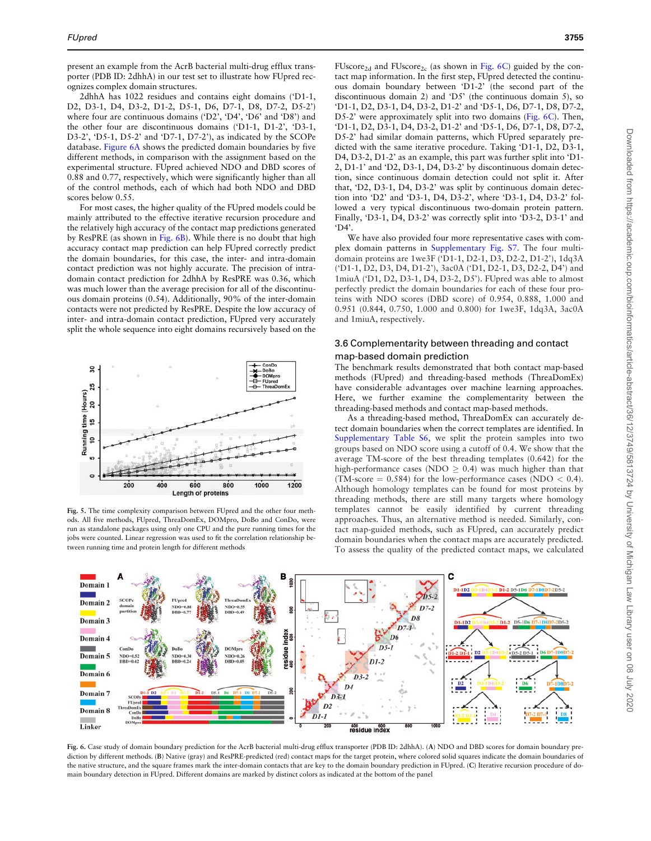<span id="page-6-0"></span>present an example from the AcrB bacterial multi-drug efflux transporter (PDB ID: 2dhhA) in our test set to illustrate how FUpred recognizes complex domain structures.

2dhhA has 1022 residues and contains eight domains ('D1-1, D2, D3-1, D4, D3-2, D1-2, D5-1, D6, D7-1, D8, D7-2, D5-2') where four are continuous domains ('D2', 'D4', 'D6' and 'D8') and the other four are discontinuous domains ('D1-1, D1-2', 'D3-1, D3-2', 'D5-1, D5-2' and 'D7-1, D7-2'), as indicated by the SCOPe database. Figure 6A shows the predicted domain boundaries by five different methods, in comparison with the assignment based on the experimental structure. FUpred achieved NDO and DBD scores of 0.88 and 0.77, respectively, which were significantly higher than all of the control methods, each of which had both NDO and DBD scores below 0.55.

For most cases, the higher quality of the FUpred models could be mainly attributed to the effective iterative recursion procedure and the relatively high accuracy of the contact map predictions generated by ResPRE (as shown in Fig. 6B). While there is no doubt that high accuracy contact map prediction can help FUpred correctly predict the domain boundaries, for this case, the inter- and intra-domain contact prediction was not highly accurate. The precision of intradomain contact prediction for 2dhhA by ResPRE was 0.36, which was much lower than the average precision for all of the discontinuous domain proteins (0.54). Additionally, 90% of the inter-domain contacts were not predicted by ResPRE. Despite the low accuracy of inter- and intra-domain contact prediction, FUpred very accurately split the whole sequence into eight domains recursively based on the



Fig. 5. The time complexity comparison between FUpred and the other four methods. All five methods, FUpred, ThreaDomEx, DOMpro, DoBo and ConDo, were run as standalone packages using only one CPU and the pure running times for the jobs were counted. Linear regression was used to fit the correlation relationship between running time and protein length for different methods

FUscore<sub>2d</sub> and FUscore<sub>2c</sub> (as shown in Fig. 6C) guided by the contact map information. In the first step, FUpred detected the continuous domain boundary between 'D1-2' (the second part of the discontinuous domain 2) and 'D5' (the continuous domain 5), so 'D1-1, D2, D3-1, D4, D3-2, D1-2' and 'D5-1, D6, D7-1, D8, D7-2, D5-2' were approximately split into two domains (Fig. 6C). Then, 'D1-1, D2, D3-1, D4, D3-2, D1-2' and 'D5-1, D6, D7-1, D8, D7-2, D5-2' had similar domain patterns, which FUpred separately predicted with the same iterative procedure. Taking 'D1-1, D2, D3-1, D4, D3-2, D1-2' as an example, this part was further split into 'D1- 2, D1-1' and 'D2, D3-1, D4, D3-2' by discontinuous domain detection, since continuous domain detection could not split it. After that, 'D2, D3-1, D4, D3-2' was split by continuous domain detection into 'D2' and 'D3-1, D4, D3-2', where 'D3-1, D4, D3-2' followed a very typical discontinuous two-domain protein pattern. Finally, 'D3-1, D4, D3-2' was correctly split into 'D3-2, D3-1' and 'D4'.

We have also provided four more representative cases with complex domain patterns in [Supplementary Fig. S7](https://academic.oup.com/bioinformatics/article-lookup/doi/10.1093/bioinformatics/btaa217#supplementary-data). The four multidomain proteins are 1we3F ('D1-1, D2-1, D3, D2-2, D1-2'), 1dq3A ('D1-1, D2, D3, D4, D1-2'), 3ac0A ('D1, D2-1, D3, D2-2, D4') and 1miuA ('D1, D2, D3-1, D4, D3-2, D5'). FUpred was able to almost perfectly predict the domain boundaries for each of these four proteins with NDO scores (DBD score) of 0.954, 0.888, 1.000 and 0.951 (0.844, 0.750, 1.000 and 0.800) for 1we3F, 1dq3A, 3ac0A and 1miuA, respectively.

# 3.6 Complementarity between threading and contact map-based domain prediction

The benchmark results demonstrated that both contact map-based methods (FUpred) and threading-based methods (ThreaDomEx) have considerable advantages over machine learning approaches. Here, we further examine the complementarity between the threading-based methods and contact map-based methods.

As a threading-based method, ThreaDomEx can accurately detect domain boundaries when the correct templates are identified. In [Supplementary Table S6,](https://academic.oup.com/bioinformatics/article-lookup/doi/10.1093/bioinformatics/btaa217#supplementary-data) we split the protein samples into two groups based on NDO score using a cutoff of 0.4. We show that the average TM-score of the best threading templates (0.642) for the high-performance cases (NDO  $\geq$  0.4) was much higher than that (TM-score  $= 0.584$ ) for the low-performance cases (NDO  $< 0.4$ ). Although homology templates can be found for most proteins by threading methods, there are still many targets where homology templates cannot be easily identified by current threading approaches. Thus, an alternative method is needed. Similarly, contact map-guided methods, such as FUpred, can accurately predict domain boundaries when the contact maps are accurately predicted. To assess the quality of the predicted contact maps, we calculated



Fig. 6. Case study of domain boundary prediction for the AcrB bacterial multi-drug efflux transporter (PDB ID: 2dhhA). (A) NDO and DBD scores for domain boundary prediction by different methods. (B) Native (gray) and ResPRE-predicted (red) contact maps for the target protein, where colored solid squares indicate the domain boundaries of the native structure, and the square frames mark the inter-domain contacts that are key to the domain boundary prediction in FUpred. (C) Iterative recursion procedure of domain boundary detection in FUpred. Different domains are marked by distinct colors as indicated at the bottom of the panel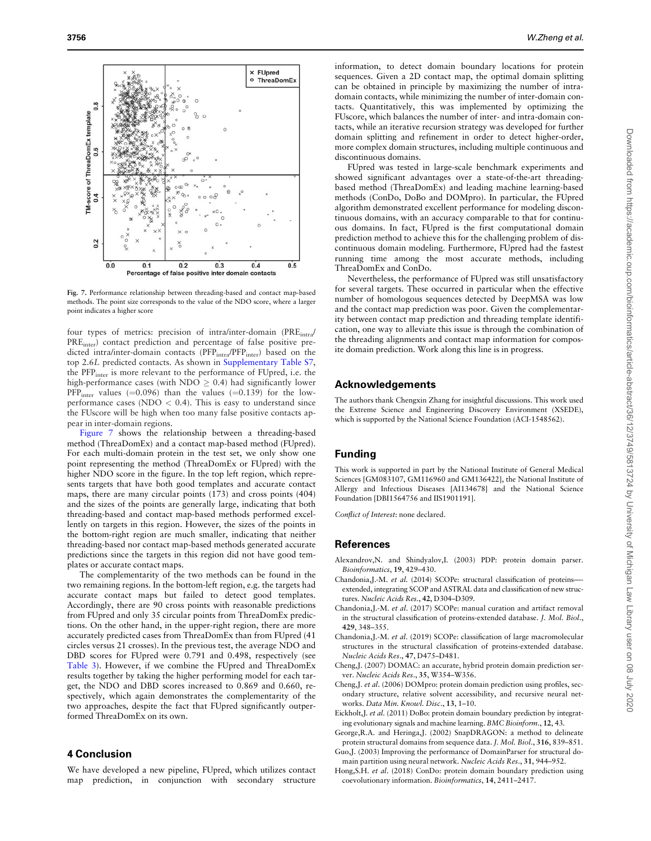<span id="page-7-0"></span>

Fig. 7. Performance relationship between threading-based and contact map-based methods. The point size corresponds to the value of the NDO score, where a larger point indicates a higher score

four types of metrics: precision of intra/inter-domain (PRE<sub>intra</sub>/ PRE<sub>inter</sub>) contact prediction and percentage of false positive predicted intra/inter-domain contacts (PFP<sub>intra</sub>/PFP<sub>inter</sub>) based on the top 2.6L predicted contacts. As shown in [Supplementary Table S7,](https://academic.oup.com/bioinformatics/article-lookup/doi/10.1093/bioinformatics/btaa217#supplementary-data) the PFPinter is more relevant to the performance of FUpred, i.e. the high-performance cases (with NDO  $\geq$  0.4) had significantly lower  $PFP<sub>inter</sub>$  values (=0.096) than the values (=0.139) for the lowperformance cases (NDO  $< 0.4$ ). This is easy to understand since the FUscore will be high when too many false positive contacts appear in inter-domain regions.

Figure 7 shows the relationship between a threading-based method (ThreaDomEx) and a contact map-based method (FUpred). For each multi-domain protein in the test set, we only show one point representing the method (ThreaDomEx or FUpred) with the higher NDO score in the figure. In the top left region, which represents targets that have both good templates and accurate contact maps, there are many circular points (173) and cross points (404) and the sizes of the points are generally large, indicating that both threading-based and contact map-based methods performed excellently on targets in this region. However, the sizes of the points in the bottom-right region are much smaller, indicating that neither threading-based nor contact map-based methods generated accurate predictions since the targets in this region did not have good templates or accurate contact maps.

The complementarity of the two methods can be found in the two remaining regions. In the bottom-left region, e.g. the targets had accurate contact maps but failed to detect good templates. Accordingly, there are 90 cross points with reasonable predictions from FUpred and only 35 circular points from ThreaDomEx predictions. On the other hand, in the upper-right region, there are more accurately predicted cases from ThreaDomEx than from FUpred (41 circles versus 21 crosses). In the previous test, the average NDO and DBD scores for FUpred were 0.791 and 0.498, respectively (see [Table 3\)](#page-5-0). However, if we combine the FUpred and ThreaDomEx results together by taking the higher performing model for each target, the NDO and DBD scores increased to 0.869 and 0.660, respectively, which again demonstrates the complementarity of the two approaches, despite the fact that FUpred significantly outperformed ThreaDomEx on its own.

### 4 Conclusion

We have developed a new pipeline, FUpred, which utilizes contact map prediction, in conjunction with secondary structure

information, to detect domain boundary locations for protein sequences. Given a 2D contact map, the optimal domain splitting can be obtained in principle by maximizing the number of intradomain contacts, while minimizing the number of inter-domain contacts. Quantitatively, this was implemented by optimizing the FUscore, which balances the number of inter- and intra-domain contacts, while an iterative recursion strategy was developed for further domain splitting and refinement in order to detect higher-order, more complex domain structures, including multiple continuous and discontinuous domains.

FUpred was tested in large-scale benchmark experiments and showed significant advantages over a state-of-the-art threadingbased method (ThreaDomEx) and leading machine learning-based methods (ConDo, DoBo and DOMpro). In particular, the FUpred algorithm demonstrated excellent performance for modeling discontinuous domains, with an accuracy comparable to that for continuous domains. In fact, FUpred is the first computational domain prediction method to achieve this for the challenging problem of discontinuous domain modeling. Furthermore, FUpred had the fastest running time among the most accurate methods, including ThreaDomEx and ConDo.

Nevertheless, the performance of FUpred was still unsatisfactory for several targets. These occurred in particular when the effective number of homologous sequences detected by DeepMSA was low and the contact map prediction was poor. Given the complementarity between contact map prediction and threading template identification, one way to alleviate this issue is through the combination of the threading alignments and contact map information for composite domain prediction. Work along this line is in progress.

# Acknowledgements

The authors thank Chengxin Zhang for insightful discussions. This work used the Extreme Science and Engineering Discovery Environment (XSEDE), which is supported by the National Science Foundation (ACI-1548562).

# Funding

This work is supported in part by the National Institute of General Medical Sciences [GM083107, GM116960 and GM136422], the National Institute of Allergy and Infectious Diseases [AI134678] and the National Science Foundation [DBI1564756 and IIS1901191].

Conflict of Interest: none declared.

# References

- Alexandrov,N. and Shindyalov,I. (2003) PDP: protein domain parser. Bioinformatics, 19, 429–430.
- Chandonia,J.-M. et al. (2014) SCOPe: structural classification of proteins— extended, integrating SCOP and ASTRAL data and classification of new structures. Nucleic Acids Res., 42, D304–D309.
- Chandonia,J.-M. et al. (2017) SCOPe: manual curation and artifact removal in the structural classification of proteins-extended database. J. Mol. Biol., 429, 348–355.
- Chandonia,J.-M. et al. (2019) SCOPe: classification of large macromolecular structures in the structural classification of proteins-extended database. Nucleic Acids Res., 47, D475–D481.
- Cheng,J. (2007) DOMAC: an accurate, hybrid protein domain prediction server. Nucleic Acids Res., 35, W354–W356.
- Cheng,J. et al. (2006) DOMpro: protein domain prediction using profiles, secondary structure, relative solvent accessibility, and recursive neural networks. Data Min. Knowl. Disc., 13, 1–10.
- Eickholt,J. et al. (2011) DoBo: protein domain boundary prediction by integrating evolutionary signals and machine learning. BMC Bioinform., 12, 43.
- George,R.A. and Heringa,J. (2002) SnapDRAGON: a method to delineate protein structural domains from sequence data. J. Mol. Biol., 316, 839–851.
- Guo,J. (2003) Improving the performance of DomainParser for structural domain partition using neural network. Nucleic Acids Res., 31, 944–952.
- Hong,S.H. et al. (2018) ConDo: protein domain boundary prediction using coevolutionary information. Bioinformatics, 14, 2411–2417.